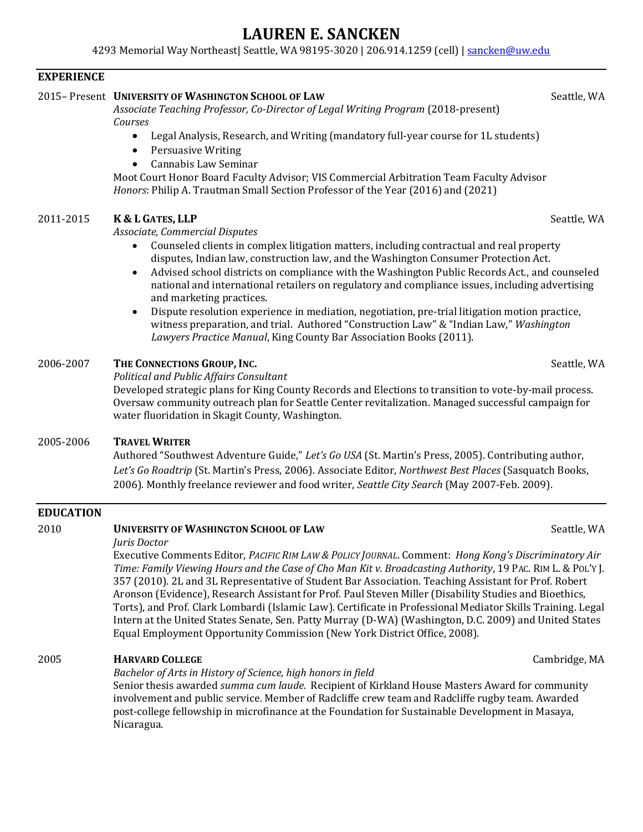# **LAUREN E. SANCKEN**

4293 Memorial Way Northeast| Seattle, WA 98195-3020 | 206.914.1259 (cell) | [sancken@uw.edu](mailto:sancken@uw.edu)

### **EXPERIENCE**

# 2015– Present **UNIVERSITY OF WASHINGTON SCHOOL OF LAW** Seattle, WA

*Associate Teaching Professor, Co-Director of Legal Writing Program* (2018-present) *Courses*

- Legal Analysis, Research, and Writing (mandatory full-year course for 1L students)
- Persuasive Writing
- Cannabis Law Seminar

Moot Court Honor Board Faculty Advisor; VIS Commercial Arbitration Team Faculty Advisor *Honors*: Philip A. Trautman Small Section Professor of the Year (2016) and (2021)

# 2011-2015 **K & L GATES, LLP** Seattle, WA

### *Associate, Commercial Disputes*

- Counseled clients in complex litigation matters, including contractual and real property disputes, Indian law, construction law, and the Washington Consumer Protection Act.
- Advised school districts on compliance with the Washington Public Records Act., and counseled national and international retailers on regulatory and compliance issues, including advertising and marketing practices.
- Dispute resolution experience in mediation, negotiation, pre-trial litigation motion practice, witness preparation, and trial. Authored "Construction Law" & "Indian Law," *Washington Lawyers Practice Manual*, King County Bar Association Books (2011).

# 2006-2007 **THE CONNECTIONS GROUP, INC.** Seattle, WA

*Political and Public Affairs Consultant*

Developed strategic plans for King County Records and Elections to transition to vote-by-mail process. Oversaw community outreach plan for Seattle Center revitalization. Managed successful campaign for water fluoridation in Skagit County, Washington.

### 2005-2006 **TRAVEL WRITER**

Authored "Southwest Adventure Guide," *Let's Go USA* (St. Martin's Press, 2005). Contributing author, *Let's Go Roadtrip* (St. Martin's Press, 2006). Associate Editor, *Northwest Best Places* (Sasquatch Books, 2006). Monthly freelance reviewer and food writer, *Seattle City Search* (May 2007-Feb. 2009).

### **EDUCATION**

#### 2010 **UNIVERSITY OF WASHINGTON SCHOOL OF LAW** Seattle, WA *Juris Doctor* Executive Comments Editor, *PACIFIC RIM LAW & POLICY JOURNAL*. Comment: *Hong Kong's Discriminatory Air Time: Family Viewing Hours and the Case of Cho Man Kit v. Broadcasting Authority*, 19 PAC. RIM L. & POL'Y J. 357 (2010). 2L and 3L Representative of Student Bar Association. Teaching Assistant for Prof. Robert Aronson (Evidence), Research Assistant for Prof. Paul Steven Miller (Disability Studies and Bioethics, Torts), and Prof. Clark Lombardi (Islamic Law). Certificate in Professional Mediator Skills Training. Legal Intern at the United States Senate, Sen. Patty Murray (D-WA) (Washington, D.C. 2009) and United States Equal Employment Opportunity Commission (New York District Office, 2008).

# 2005 **HARVARD COLLEGE** Cambridge, MA

### *Bachelor of Arts in History of Science, high honors in field*

Senior thesis awarded *summa cum laude*. Recipient of Kirkland House Masters Award for community involvement and public service. Member of Radcliffe crew team and Radcliffe rugby team. Awarded post-college fellowship in microfinance at the Foundation for Sustainable Development in Masaya, Nicaragua.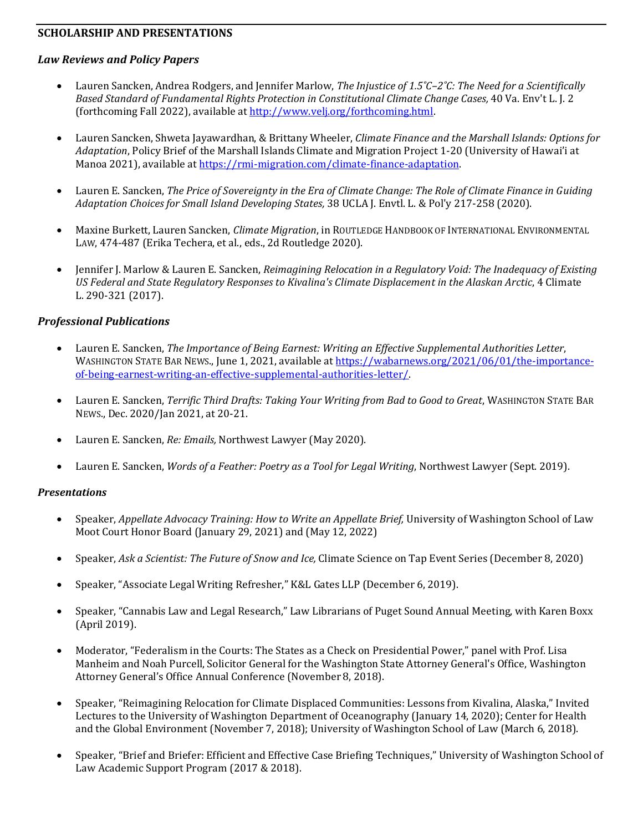#### **SCHOLARSHIP AND PRESENTATIONS**

#### *Law Reviews and Policy Papers*

- Lauren Sancken, Andrea Rodgers, and Jennifer Marlow, *The Injustice of 1.5˚C–2˚C: The Need for a Scientifically Based Standard of Fundamental Rights Protection in Constitutional Climate Change Cases,* 40 Va. Env't L. J. 2 (forthcoming Fall 2022), available a[t http://www.velj.org/forthcoming.html.](http://www.velj.org/forthcoming.html)
- Lauren Sancken, Shweta Jayawardhan, & Brittany Wheeler, *Climate Finance and the Marshall Islands: Options for Adaptation*, Policy Brief of the Marshall Islands Climate and Migration Project 1-20 (University of Hawai'i at Manoa 2021), available at [https://rmi-migration.com/climate-finance-adaptation.](https://rmi-migration.com/climate-finance-adaptation)
- Lauren E. Sancken, *[The Price of Sovereignty in the Era of Climate Change: The Role of Climate Finance in Guiding](https://escholarship.org/uc/item/0b04s26g)  [Adaptation Choices for Small Island Developing States,](https://escholarship.org/uc/item/0b04s26g)* 38 UCLA J. Envtl. L. & Pol'y 217-258 (2020).
- Maxine Burkett, Lauren Sancken, *Climate Migration*, in ROUTLEDGE HANDBOOK OF INTERNATIONAL ENVIRONMENTAL LAW, 474-487 (Erika Techera, et al., eds., 2d Routledge 2020).
- Jennifer J. Marlow & Lauren E. Sancken, *[Reimagining Relocation in a Regulatory Void: The Inadequacy of Existing](http://booksandjournals.brillonline.com/content/journals/10.1163/18786561-00704004)  [US Federal and State Regulatory Responses to Kivalina's Climate Displacement in the Alaskan Arctic](http://booksandjournals.brillonline.com/content/journals/10.1163/18786561-00704004)*, 4 Climate L. 290-321 (2017).

#### *Professional Publications*

- Lauren E. Sancken, *The Importance of Being Earnest: Writing an Effective Supplemental Authorities Letter*, WASHINGTON STATE BAR NEWS., June 1, 2021, available a[t https://wabarnews.org/2021/06/01/the-importance](https://wabarnews.org/2021/06/01/the-importance-of-being-earnest-writing-an-effective-supplemental-authorities-letter/)[of-being-earnest-writing-an-effective-supplemental-authorities-letter/.](https://wabarnews.org/2021/06/01/the-importance-of-being-earnest-writing-an-effective-supplemental-authorities-letter/)
- Lauren E. Sancken, *Terrific Third Drafts: Taking Your Writing from Bad to Good to Great*, WASHINGTON STATE BAR NEWS., Dec. 2020/Jan 2021, at 20-21.
- Lauren E. Sancken, *Re: Emails,* Northwest Lawyer (May 2020).
- Lauren E. Sancken, *Words of a Feather: Poetry as a Tool for Legal Writing*, Northwest Lawyer (Sept. 2019).

#### *Presentations*

- Speaker, *Appellate Advocacy Training: How to Write an Appellate Brief,* University of Washington School of Law Moot Court Honor Board (January 29, 2021) and (May 12, 2022)
- Speaker, *Ask a Scientist: The Future of Snow and Ice,* Climate Science on Tap Event Series (December 8, 2020)
- Speaker, "Associate Legal Writing Refresher," K&L Gates LLP (December 6, 2019).
- Speaker, "Cannabis Law and Legal Research," Law Librarians of Puget Sound Annual Meeting, with Karen Boxx (April 2019).
- Moderator, "Federalism in the Courts: The States as a Check on Presidential Power," panel with Prof. Lisa Manheim and Noah Purcell, Solicitor General for the Washington State Attorney General's Office, Washington Attorney General's Office Annual Conference (November 8, 2018).
- Speaker, "Reimagining Relocation for Climate Displaced Communities: Lessons from Kivalina, Alaska," Invited Lectures to the University of Washington Department of Oceanography (January 14, 2020); Center for Health and the Global Environment (November 7, 2018); University of Washington School of Law (March 6, 2018).
- Speaker, "Brief and Briefer: Efficient and Effective Case Briefing Techniques," University of Washington School of Law Academic Support Program (2017 & 2018).